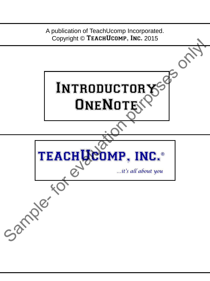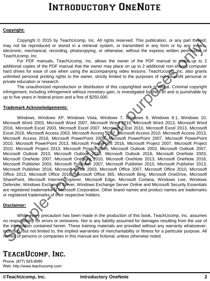# Introductory OneNote

### **Copyright:**

Copyright © 2015 by TeachUcomp, Inc. All rights reserved. This publication, or any part thereof, may not be reproduced or stored in a retrieval system, or transmitted in any form or by any means, electronic, mechanical, recording, photocopying, or otherwise, without the express written permission of TeachUcomp, Inc.

For PDF manuals, TeachUcomp, Inc. allows the owner of the PDF manual to make up to 2 additional copies of the PDF manual that the owner may place on up to 2 additional non-shared computer hard drives for ease of use when using the accompanying video lessons. TeachUcomp, Inc. also grants unlimited personal printing rights to the owner, strictly limited to the purposes of not-for-profit personal or private education or research.

The unauthorized reproduction or distribution of this copyrighted work is illegal. Criminal copyright infringement, including infringement without monetary gain, is investigated by the FBI and is punishable by up to five years in federal prison and a fine of \$250,000.

#### **Trademark Acknowledgements:**

Windows, Windows XP, Windows Vista, Windows 7, Windows 8, Windows 8.1, Windows 10, Microsoft Word 2003, Microsoft Word 2007, Microsoft Word 2010, Microsoft Word 2013, Microsoft Word 2016, Microsoft Excel 2003, Microsoft Excel 2007, Microsoft Excel 2010, Microsoft Excel 2013, Microsoft Excel 2016, Microsoft Access 2003, Microsoft Access 2007, Microsoft Access 2010, Microsoft Access 2013, Microsoft Access 2016, Microsoft PowerPoint 2003, Microsoft PowerPoint 2007, Microsoft PowerPoint 2010, Microsoft PowerPoint 2013, Microsoft PowerPoint 2016, Microsoft Project 2007, Microsoft Project 2010, Microsoft Project 2013, Microsoft Project 2016, Microsoft Outlook 2003, Microsoft Outlook 2007, Microsoft Outlook 2010, Microsoft Outlook 2013, Microsoft Outlook 2016, Microsoft OneNote 2003, Microsoft OneNote 2007, Microsoft OneNote 2010, Microsoft OneNote 2013, Microsoft OneNote 2016, Microsoft Publisher 2003, Microsoft Publisher 2007, Microsoft Publisher 2010, Microsoft Publisher 2013, Microsoft Publisher 2016, Microsoft Office 2003, Microsoft Office 2007, Microsoft Office 2010, Microsoft Office 2013, Microsoft Office 2016, Microsoft Office 365, Microsoft Bing, Microsoft OneDrive, Microsoft SharePoint, Microsoft Internet Explorer, Microsoft Edge, Microsoft Cortana, Windows Live, Windows Defender, Windows Exchange Server, Windows Exchange Server Online and Microsoft Security Essentials are registered trademarks of Microsoft Corporation. Other brand names and product names are trademarks or registered trademarks of their respective holders. Copyright © 2015 by Teach Union the new three servers. This publication, or any part the economic method in the purpose of the method in the method in the controlline of the method in the controlline of the method in the c

### **Disclaimer:**

While every precaution has been made in the production of this book, TeachUcomp, Inc. assumes no responsibility for errors or omissions. Nor is any liability assumed for damages resulting from the use of the information contained herein. These training materials are provided without any warranty whatsoever, including, but not limited to, the implied warranties of merchantability or fitness for a particular purpose. All names of persons or companies in this manual are fictional, unless otherwise noted.

# TeachUcomp, Inc.

Phone: (877) 925-8080 Web: http://www.teachucomp.com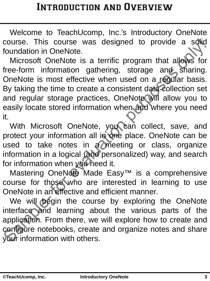Welcome to TeachUcomp, Inc.'s Introductory OneNote course. This course was designed to provide a solid foundation in OneNote.

Microsoft OneNote is a terrific program that allows for free-form information gathering, storage and sharing. OneNote is most effective when used on a regular basis. By taking the time to create a consistent data collection set and regular storage practices, OneNote will allow you to easily locate stored information when and where you need it. course. This course was designed to provide a solid<br>foundation in OneNote.<br>Microsoft OneNote is a terrific program that allows for<br>free-form information gathering, storage and Sharing.<br>OneNote is most effective when used o

With Microsoft OneNote, you can collect, save, and protect your information all in one place. OneNote can be used to take notes in a meeting or class, organize information in a logical (and personalized) way, and search for information when you need it.

Mastering OneNote Made Easy™ is a comprehensive course for those who are interested in learning to use OneNote in an effective and efficient manner.

We will begin the course by exploring the OneNote interface and learning about the various parts of the application. From there, we will explore how to create and configure notebooks, create and organize notes and share your information with others.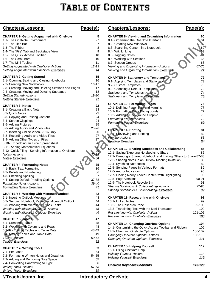# Table of Contents

| <b>Chapters/Lessons:</b>                                                            | $Page(s)$ : | <b>Chapters/Lessons:</b>                                                                             | $Page(s)$ :  |
|-------------------------------------------------------------------------------------|-------------|------------------------------------------------------------------------------------------------------|--------------|
| <b>CHAPTER 1- Getting Acquainted with OneNote</b>                                   | 5           | <b>CHAPTER 8- Viewing and Organizing Information</b>                                                 | 60           |
| 1.1- The OneNote Environment                                                        | $6 - 7$     | 8.1- Organizing the OneNote Interface                                                                | 61           |
| 1.2- The Title Bar                                                                  | 7           | 8.2- Creating New Windows                                                                            | 62           |
| 1.3- The Ribbon                                                                     | 8           | 8.3- Searching Content in a Notebook                                                                 | $62^{\circ}$ |
| 1.4- The "File" Tab and Backstage View                                              | 9           | 8.4- Wiki Linking                                                                                    | 63<br>64     |
| 1.5- The Quick Access Toolbar<br>1.6- The Scroll Bars                               | 10<br>10    | 8.5- Tagging Notes<br>8.6- Working with Sections                                                     | 65           |
| 1.7- The Mini Toolbar                                                               | 11          | 8.7- Section Groups                                                                                  | 66           |
| Getting Acquainted with OneNote-Actions                                             | $12 - 13$   | Viewing and Organizing Information- Actions                                                          | 67-70        |
| Getting Acquainted with OneNote-Exercises                                           | 14          | Viewing and Organizing Information- Exercises                                                        | 71           |
| <b>CHAPTER 2- Getting Started</b>                                                   | 15          | <b>CHAPTER 9- Stationery and Templates</b>                                                           | 72           |
| 2.1- Opening, Saving and Closing Notebooks                                          | 16          | 9.1- Applying Templates and Stationery                                                               | 73           |
| 2.2- Creating New Notebooks                                                         | 16-17       | 9.2- Custom Templates                                                                                | 73           |
| 2.3- Creating, Moving and Deleting Sections and Pages                               | 17          | 9.3- Choosing a Default Template                                                                     | 73           |
| 2.4- Creating, Moving and Deleting Subpages<br><b>Getting Started-Actions</b>       | 18<br>19-20 | Stationery and Templates-Actions                                                                     | 74           |
| <b>Getting Started- Exercises</b>                                                   | 21          | <b>Stationery and Templates-Exercises</b>                                                            | 75           |
|                                                                                     |             | <b>CHAPTER 10- Formatting Pages</b>                                                                  | 76           |
| <b>CHAPTER 3- Notes</b>                                                             | 22          | 10.1- Defining Paper Size and Margins                                                                | 77           |
| 3.1- Creating a Basic Note                                                          | 23          | 10.2- Formatting Page Backgrounds                                                                    | 77           |
| 3.2- Quick Notes<br>3.3- Copying and Pasting Content                                | 23<br>24    | 10.3- Adding a Background Graphic                                                                    | 78           |
| 3.4- Screen Clippings                                                               | 24          | <b>Formatting Pages-Actions</b>                                                                      | 79           |
| 3.5- Adding Pictures                                                                | 25          | <b>Formatting Pages-Exercises</b>                                                                    | 80           |
| 3.6- Adding Audio and Video Files                                                   | 25-26       |                                                                                                      |              |
| 3.7- Inserting Online Video- 2016 Only                                              | 26          | <b>CHAPTER 11- Printing</b><br>111- Previewing and Printing                                          | 81<br>82     |
| 3.8- Recording Audio and Video Files                                                | 27          | <b>Printing-Actions</b>                                                                              | 83           |
| 3.9- Adding Other Types of Files                                                    | 27          | <b>Printing-Exercises</b>                                                                            | 84           |
| 3.10- Embedding an Excel Spreadsheet                                                | 28          |                                                                                                      |              |
| 3.11- Adding Mathematical Equations                                                 | 28          | <b>CHAPTER 12- Sharing Notebooks and Collaborating</b>                                               | 85           |
| 3.12- Quick Filing - Sending Information to OneNote<br><b>Notes-Actions</b>         |             | 12.1- Saving/Exporting Notebooks to Share                                                            | 86           |
| <b>Notes-Exercises</b>                                                              | 34          | 12.2- Creating a Shared Notebook and Inviting Others to Share 87-88                                  |              |
|                                                                                     |             | 12.3- Sharing Notes in an Outlook Meeting Invitation                                                 | 88           |
| <b>CHAPTER 4- Formatting Notes</b>                                                  | 35          | 12.4- Synching Notebooks<br>12.5- Sending Pages in Various Formats                                   | 89<br>89     |
| 4.1- Basic Text Formatting                                                          | 36          | 12.6- Author Indicators                                                                              | 90           |
| 4.2- Bullets and Numbering<br>4.3 Checking Spelling                                 | 36<br>37    | 12.7- Finding Newly Added Content with Highlighting                                                  | 90           |
| 4.4- Setting Default Proofing Options                                               | 37-38       | 12.8- Page Versions                                                                                  | 90-91        |
| <b>Formatting Notes-Actions</b>                                                     | 39-40       | 12.9- The Notebook Recycle Bin                                                                       | 91           |
| <b>Formatting Notes- Exercises</b>                                                  | 41          | Sharing Notebooks & Collaborating-Actions                                                            | 92-96        |
|                                                                                     |             | Sharing Notebooks & Collaborating-Exercises                                                          | 97           |
| <b>CHAPTER 5- Working with Microsoft Outlook</b><br>5.1- Inserting Outlook Meetings | 42<br>43    | <b>CHAPTER 13- Researching with OneNote</b>                                                          | 98           |
| 5.2- Sending Notebook Pages via Microsoft Outlook                                   | 44          | 13.1- Linked Notes                                                                                   | 99           |
| 5.3- Working with Microsoft Outlook Tasks                                           | 44          | 13.2- The Research Pane                                                                              | 99-100       |
| Working with Microsoft Outlook- Actions                                             | 45          | 13.3- Translating Text with the Mini Translator                                                      | 100          |
| Working with Microsoft Outlook- Exercises                                           | 46          | Researching with OneNote-Actions                                                                     | 101-102      |
| <b>CHAPTER 6- Tables</b>                                                            | 47          | Researching with OneNote-Exercises                                                                   | 103          |
| 6.1- Creating a Table                                                               | 48          |                                                                                                      | 104          |
| 6.2- Working with Columns and Rows                                                  | 48          | <b>CHAPTER 14- Changing OneNote Options</b><br>14.1- Customizing the Quick Access Toolbar and Ribbon | 105          |
| 6.3- Formatting Tables and Table Data                                               | 48-49       | 14.2- Changing OneNote Options                                                                       | 106-107      |
| 6.4 Moving Tables and Table Data                                                    | 49          | Changing OneNote Options- Actions                                                                    | 108-110      |
| <b>Tables-Actions</b>                                                               | $50 - 51$   | Changing OneNote Options- Exercises                                                                  | 111          |
| <b>Tables-Exercises</b>                                                             | 52          | <b>CHAPTER 15- Helping Yourself</b>                                                                  | 112          |
| <b>CHAPTER 7- Writing Tools</b>                                                     | 53          | 15.1- Using OneNote Help                                                                             | 113          |
| 7.1 Pen Mode                                                                        | 54          | <b>Helping Yourself- Actions</b>                                                                     | 114          |
| 7.2- Formatting Written Notes and Drawings                                          | 54-55       | <b>Helping Yourself- Exercises</b>                                                                   | 115          |
| 7.3- Adding and Removing Note Space<br>7.4- Converting Handwriting to Type          | 55<br>56    |                                                                                                      |              |
| <b>Writing Tools- Actions</b>                                                       | 57-58       | <b>OneNote Keyboard Shortcuts</b>                                                                    | 116-122      |
| <b>Writing Tools- Exercises</b>                                                     | 59          |                                                                                                      |              |

# **©TeachUcomp, Inc. Introductory OneNote 4**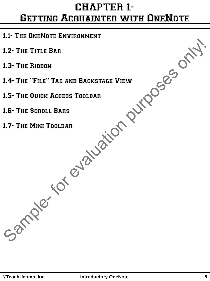# CHAPTER 1- GETTING ACQUAINTED WITH ONENOTE

- 1.1- The OneNote Environment
- 1.2- The Title Bar
- 1.3- The Ribbon
- 1.4- The "File" Tab and Backstage View Sample- Sample- For EXPLANSING CONTRACT CONTRACT CONTRACT CONTRACT CONTRACT CONTRACT CONTRACT CONTRACT CONTRACT CONTRACT CONTRACT CONTRACT CONTRACT CONTRACT CONTRACT CONTRACT CONTRACT CONTRACT CONTRACT CONTRACT CONTRACT CO
- 1.5- The Quick Access Toolbar
- 1.6- The Scroll Bars
- 1.7- The Mini Toolbar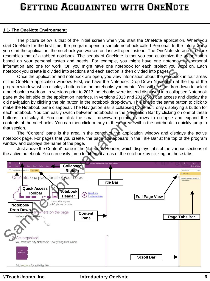# GETTING ACQUAINTED WITH ONENOTE

### **1.1- The OneNote Environment:**

The picture below is that of the initial screen when you start the OneNote application. When you start OneNote for the first time, the program opens a sample notebook called Personal. In the future when you start the application, the notebook you worked on last will open instead. The OneNote storage structure resembles that of a tabbed notebook. The beauty of OneNote is that you can customize the organization based on your personal tastes and needs. For example, you might have one notebook for personal information and one for work. Or, you might have one notebook for each project you work on. Each notebook you create is divided into sections and each section is then divided into pages.

Once the application and notebook are open, you view information about the notebook in four areas of the OneNote application window. First, we have the Notebook Drop-Down Navigation at the top of the program window, which displays buttons for the notebooks you create. You will use the drop-down to select a notebook to work on. In versions prior to 2013, notebooks were instead displayed in a collapsed Notebook pane at the left side of the application interface. In versions 2013 and 2016, you can access and display the old navigation by clicking the pin button in the notebook drop-down. This is also the same button to click to make the Notebook pane disappear. The Navigation Bar is collapsed by default, only displaying a button for each notebook. You can easily switch between notebooks in the Navigation Bar by clicking on one of these buttons to display it. You can click the small, downward-pointing arrows to collapse and expand the contents of the notebooks. You can then click on any of these areas within the notebook to quickly jump to that section.

The "Content" pane is the area in the center of the application window and displays the active notebook page. For pages that you create, the page title appears in the Title Bar at the top of the program window and displays the name of the page.

Just above the Content" pane is the Notebook Header, which displays tabs of the various sections of the active notebook. You can easily jump to different areas of the notebook by clicking on these tabs.

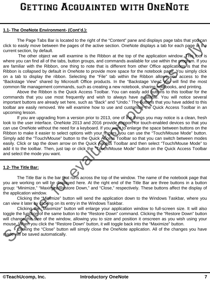### **1.1- The OneNote Environment- (Cont'd.):**

The Page Tabs Bar is located to the right of the "Content" pane and displays page tabs that you can click to easily move between the pages of the active section. OneNote displays a tab for each page in the current section, by default.

The other object we will examine is the Ribbon at the top of the application window. This tool is where you can find all of the tabs, button groups, and commands available for use within the program. If you are familiar with the Ribbon, one thing to note that is different from other Office applications is that the Ribbon is collapsed by default in OneNote to provide more space for the notebook page. You simply click on a tab to display the ribbon. Selecting the "File" tab within the Ribbon allows you access to the "Backstage View" shared by Microsoft Office products. In the "Backstage View" you will find the most common file management commands, such as creating a new notebook, sharing notebooks, and printing.

Above the Ribbon is the Quick Access Toolbar. You can easily add buttons to this toolbar for the commands that you use most frequently and wish to always have available. You will notice several important buttons are already set here, such as "Back" and "Undo." The buttons that you have added to this toolbar are easily removed. We will examine how to use and customize the Quick Access Toolbar in an upcoming lesson.

If you are upgrading from a version prior to 2013, one of the things you may notice is a clean, fresh look to the user interface. OneNote 2013 and 2016 provide support for touch-enabled devices so that you can use OneNote without the need for a keyboard. If you want to enlarge the space between buttons on the Ribbon to make it easier to select options with your fingers, you can use the "Touch/Mouse Mode" button. Simply add the "Touch/Mouse" button to the Quick Access Toolbar so that you can switch between modes easily. Click or tap the down arrow on the Quick Access Toolbar and then select "Touch/Mouse Mode" to add it to the toolbar. Then, just tap or click the "Touch/Mouse Mode" button on the Quick Access Toolbar and select the mode you want. The Page Table Bar is located to the right of the "Content pane and display page table to the action of the Content page of the content serion, OreNote displays a table free colon, by detail. If you can infor all of the co

# **1.2- The Title Bar:**

The Title Bar is the bar that runs across the top of the window. The name of the notebook page that you are working on will be displayed here. At the right end of the Title Bar are three buttons in a button group: "Minimize," "Maximize/Restore Down," and "Close," respectively. These buttons affect the display of the application window.

Clicking the "Minimize" button will send the application down to the Windows Taskbar, where you can view it later by clicking on its entry in the Windows Taskbar.

Clicking the "Maximize" button will enlarge your application window to full-screen size. It will also toggle the function of the same button to the "Restore Down" command. Clicking the "Restore Down" button will change the size of the window, allowing you to size and position it onscreen as you wish using your mouse. When you click the "Restore Down" button, it will toggle back into the "Maximize" button.

Clicking the "Close" button will simply close the OneNote application. All of the changes you have made will be saved automatically.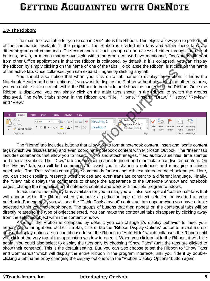# GETTING ACQUAINTED WITH ONENOTE

### **1.3- The Ribbon:**

The main tool available for you to use in OneNote is the Ribbon. This object allows you to perform all of the commands available in the program. The Ribbon is divided into tabs and within these tabs are different groups of commands. The commands in each group can be accessed either through the use of buttons, boxes, or menus that are available within the group. As we have mentioned, OneNote is different from other Office applications in that the Ribbon is collapsed, by default. If it is collapsed, you can display the Ribbon by simply clicking on the name of one of the tabs. To collapse the Ribbon, just click on the name of the active tab. Once collapsed, you can expand it again by clicking any tab.

You should also notice that when you click on a tab name to display the Ribbon, it hides the Notebook Header and other options. If you want to display the Ribbon without obscuring the other features, you can double-click on a tab within the Ribbon to both hide and show the contents of the Ribbon. Once the Ribbon is displayed, you can simply click on the main tabs shown in the Ribbon to switch the groups displayed. The default tabs shown in the Ribbon are: "File," "Home," "Insert," "Draw," "History," "Review," and "View."

| File | Home<br>Insert                                       | Draw    | History    | Review<br>View                                                                                                                                                                                                                                                                                                                                                                                                                                                                                                                                                              |                               |                                                                                        |                              |                                     |                           |
|------|------------------------------------------------------|---------|------------|-----------------------------------------------------------------------------------------------------------------------------------------------------------------------------------------------------------------------------------------------------------------------------------------------------------------------------------------------------------------------------------------------------------------------------------------------------------------------------------------------------------------------------------------------------------------------------|-------------------------------|----------------------------------------------------------------------------------------|------------------------------|-------------------------------------|---------------------------|
|      | B & Cut<br>Paste <sub>at -</sub><br>S Format Painter | Calibri |            | $\begin{array}{c} \mathbf{1}_{\mathbf{1}}\mathbf{1}_{\mathbf{2}}\mathbf{1}_{\mathbf{3}}\mathbf{1}_{\mathbf{4}}\mathbf{1}_{\mathbf{5}}\mathbf{1}_{\mathbf{6}}\mathbf{1}_{\mathbf{7}}\mathbf{1}_{\mathbf{8}}\mathbf{1}_{\mathbf{7}}\mathbf{1}_{\mathbf{8}}\mathbf{1}_{\mathbf{8}}\mathbf{1}_{\mathbf{8}}\mathbf{1}_{\mathbf{8}}\mathbf{1}_{\mathbf{8}}\mathbf{1}_{\mathbf{8}}\mathbf{1}_{\mathbf{8}}\mathbf{1}_{\mathbf{8}}\mathbf{1}_{\mathbf$<br>B $I \subseteq \text{abc } X_2 \neq \left  \frac{dy}{dx} \cdot \mathbf{A} \right  \equiv \left  \mathbf{A} \right  \times$ | Heading 1<br><b>Heading 2</b> | To Do $(Ctrl+1)$<br>$\overline{\mathsf{v}}$<br>Important (Ctrl+2)<br>Question (Ctrl+3) | To Do<br>Find<br>Tag<br>Tags | Email<br>Outlook<br>Tasks ~<br>Page | 臀<br>Meeting<br>Details ~ |
|      | Clipboard                                            |         | Basic Text |                                                                                                                                                                                                                                                                                                                                                                                                                                                                                                                                                                             | Styles                        |                                                                                        | Tags                         | Email                               | Meetings                  |
|      |                                                      |         |            |                                                                                                                                                                                                                                                                                                                                                                                                                                                                                                                                                                             |                               |                                                                                        |                              |                                     |                           |

The "Home" tab includes buttons that allow you to format notebook content, insert and locate content tags (which we discuss later) and even coordinate notebook content with Microsoft Outlook. The "Insert" tab includes commands that allow you to insert, link to and attach images, files, audio/visual files, time stamps and special symbols. The "Draw" tab contains commands to insert and manipulate handwritten content. On the "History" tab, you will find commands to assist you in sharing a notebook and managing multiuser notebooks. The "Review" tab contains the commands for working with text stored on notebook pages. Here, you can check spelling, research word choices and even translate content to a different language. Finally, the "View" tab displays the commands to change the appearance of the OneNote window and notebook pages, change the magnification of notebook content and work with multiple program windows. The main tool available for you to use in One Noton is the Ribbon, This object allows you to perform and the end of the end of the end of the end of the end of the end of the end of the end of the end of the end of the en

In addition to the primary tabs available for you to use, you will also see special "contextual" tabs that will appear within the Ribbon when you have a particular type of object selected or inserted in your notebook. For example, you will see the "Table Tools/Layout" contextual tab appear when you have a table selected within your notebook page. The groups of buttons that then appear on the contextual tabs will be directly related to the type of object selected. You can make the contextual tabs disappear by clicking away from the selected object within the content window.

Although the Ribbon is collapsed by default, you can change it's display behavior to meet your needs. At the far right-end of the Title Bar, click or tap the "Ribbon Display Options" button to reveal a dropdown of display options. You can choose to set the Ribbon to "Auto-Hide" which collapses the Ribbon until you click at the very top of the application window to open it. When you click outside the Ribbon, it will hide again. You could also select to display the tabs only by choosing "Show Tabs" (until the tabs are clicked to show their contents). This is the default setting. But, you can also choose to set the Ribbon to "Show Tabs and Commands" which will display the entire Ribbon in the program interface, until you hide it by doubleclicking a tab name or by changing the display options with the "Ribbon Display Options" button again.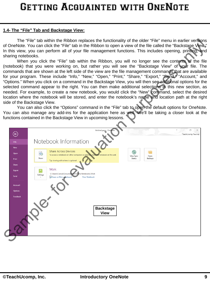### **1.4- The "File" Tab and Backstage View:**

The "File" tab within the Ribbon replaces the functionality of the older "File" menu in earlier versions of OneNote. You can click the "File" tab in the Ribbon to open a view of the file called the "Backstage View." In this view, you can perform all of your file management functions. This includes opening, printing, and sharing notebooks.

When you click the "File" tab within the Ribbon, you will no longer see the contents of the file (notebook) that you were working on, but rather you will see the "Backstage View" of your file. The commands that are shown at the left side of the view are the file management commands that are available for your program. These include "Info," "New," "Open," "Print," "Share," "Export," "Send," "Account," and "Options." When you click on a command in the Backstage View, you will then see additional options for the selected command appear to the right. You can then make additional selections in this new section, as needed. For example, to create a new notebook, you would click the "New" command, select the desired location where the notebook will be stored, and enter the notebook's name and location path at the right side of the Backstage View.

You can also click the "Options" command in the "File" tab to open the default options for OneNote. You can also manage any add-ins for the application here as well. We'll be taking a closer look at the functions contained in the Backstage View in upcoming lessons.

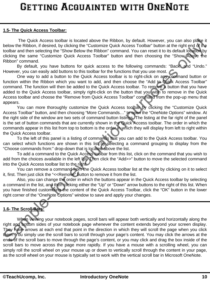### **1.5- The Quick Access Toolbar:**

The Quick Access toolbar is located above the Ribbon, by default. However, you can also place it below the Ribbon, if desired, by clicking the "Customize Quick Access Toolbar" button at the right end of the toolbar and then selecting the "Show Below the Ribbon" command. You can reset it to its default location by clicking the same "Customize Quick Access Toolbar" button and then choosing the "Show Above the Ribbon" command.

By default, you have buttons for quick access to the following commands: "Back" and "Undo." However, you can easily add buttons to this toolbar for the functions that you use most.

One way to add a button to the Quick Access toolbar is to right-click on any command button or function within the Ribbon which you want to add, and then choose the "Add to Quick Access Toolbar" command. The function will then be added to the Quick Access toolbar. To remove a button that you have added to the Quick Access toolbar, simply right-click on the button that you wish to remove in the Quick Access toolbar and choose the "Remove from Quick Access Toolbar" command from the pop-up menu that appears. The Quick Access tools is located above the Ribbon, by detail. However, you can also place it is considered above the Ribbon, if desired in the Ribbon Breakth in the steeling the "Customize Quick Access Tools" but in the s

You can more thoroughly customize the Quick Access toolbar by clicking the "Customize Quick Access Toolbar" button, and then choosing "More Commands…" to open the "OneNote Options" window. At the right side of the window are two sets of command button listings. The listing at the far right of the panel is the set of button commands that are currently shown in the Quick Access toolbar. The order in which the commands appear in this list from top to bottom is the order in which they will display from left to right within the Quick Access toolbar.

To the left of this panel is a listing of commands that you can add to the Quick Access toolbar. You can select which functions are shown in this list by selecting a command grouping to display from the "Choose commands from:" drop-down that is located above the list.

To add a command to the Quick Access toolbar from this list, click on the command that you wish to add from the choices available in the left list. Then click the "Add>>" button to move the selected command into the Quick Access toolbar list to the right.

You can remove a command from the Quick Access toolbar list at the right by clicking on it to select it, first. Then just click the "<<Remove" button to remove it from the list.

Also, you can change the order in which the buttons appear in the Quick Access toolbar by selecting a command in the list, and then clicking either the "Up" or "Down" arrow buttons to the right of this list. When you have finished customizing the content of the Quick Access Toolbar, click the "OK" button in the lower right corner of the "OneNote Options" window to save and apply your changes.

# **1.6- The Scroll Bars:**

When viewing your notebook pages, scroll bars will appear both vertically and horizontally along the right and bottom sides of your notebook page whenever the content extends beyond your screen display. They have arrows at each end that point in the direction in which they will scroll the page when you click them. You simply use the scroll bars to scroll through your page's content. You may click the arrows at the ends of the scroll bars to move through the page's content, or you may click and drag the box inside of the scroll bars to move across the page more rapidly. If you have a mouse with a scrolling wheel, you can simply roll the scroll wheel on your mouse up or down to vertically scroll through the content in your page, as the scroll wheel on your mouse is typically set to work with the vertical scroll bar in Microsoft OneNote.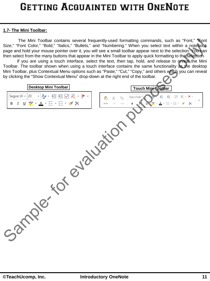# GETTING ACQUAINTED WITH ONENOTE

### **1.7- The Mini Toolbar:**

The Mini Toolbar contains several frequently-used formatting commands, such as "Font," "Font Size," "Font Color," "Bold," "Italics," "Bullets," and "Numbering." When you select text within a notebook page and hold your mouse pointer over it, you will see a small toolbar appear next to the selection. You can then select from the many buttons that appear in the Mini Toolbar to apply quick formatting to the selection.

If you are using a touch interface, select the text, then tap, hold, and release to reveal the Mini Toolbar. The toolbar shown when using a touch interface contains the same functionality as the desktop Mini Toolbar, plus Contextual Menu options such as "Paste," "Cut," "Copy," and others which you can reveal by clicking the "Show Contextual Menu" drop-down at the right end of the toolbar.

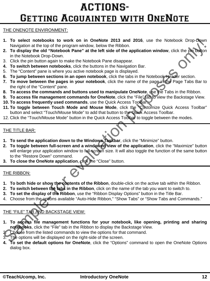# ACTIONS-Getting Acquainted with OneNote

### THE ONENOTE ENVIRONMENT:

- **1. To select notebooks to work on in OneNote 2013 and 2016**, use the Notebook Drop-Down Navigation at the top of the program window, below the Ribbon.
- **2. To display the old "Notebook Pane" at the left side of the application window**, click the pin button in the Notebook Drop-Down.
- 3. Click the pin button again to make the Notebook Pane disappear.
- **4. To switch between notebooks**, click the buttons in the Navigation Bar.
- 5. The "Content" pane is where you active notebook page is displayed.
- **6. To jump between sections in an open notebook**, click the tabs in the Notebook Header section.
- **7. To move between the pages in your notebook**, click the name of the page in the Page Tabs Bar to the right of the "Content" pane.
- **8. To access the commands and buttons used to manipulate OneNote**, use the Tabs in the Ribbon.
- **9. To access file management commands for OneNote**, click the "File" tab to view the Backstage View.
- **10. To access frequently used commands**, use the Quick Access Toolbar.
- **11. To toggle between Touch Mode and Mouse Mode**, click the "Customize Quick Access Toolbar" button and select "Touch/Mouse Mode" to add that button to the Quick Access Toolbar.
- 12. Click the "Touch/Mouse Mode" button in the Quick Access Toolbar to toggle between the modes.

# THE TITLE BAR:

- **1. To send the application down to the Windows Taskbar**, click the "Minimize" button.
- **2. To toggle between full-screen and a windowed view of the application**, click the "Maximize" button will enlarge your application window to full-screen size. It will also toggle the function of the same button to the "Restore Down" command. 1. To select notebooks to work on in Onel Note 2013 and 2016, use the Notebook Drop-Dewn<br>
Navigation at the top the program window, helow the Ribbon.<br>
2. To display the old "Notebook Pane" at the left side of the applicat
- **3. To close the OneNote application**, click the "Close" button.

THE RIBBON:

- **1. To both hide or show the contents of the Ribbon**, double-click on the active tab within the Ribbon.
- **2. To switch between the tabs in the Ribbon**, click on the name of the tab you want to switch to.
- **3. To set the display of the Ribbon**, use the "Ribbon Display Options" button in the Title Bar.
- 4. Choose from the options available "Auto-Hide Ribbon," "Show Tabs" or "Show Tabs and Commands."

# THE "FILE" TAB AND BACKSTAGE VIEW:

- **1. To access file management functions for your notebook, like opening, printing and sharing notebooks**, click the "File" tab in the Ribbon to display the Backstage View.
- 2. Choose from the listed commands to view the options for that command.
- The options will be displayed on the right-side of the screen.
- **4. To set the default options for OneNote**, click the "Options" command to open the OneNote Options dialog box.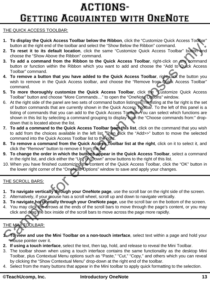# ACTIONS-Getting Acquainted with OneNote

### THE QUICK ACCESS TOOLBAR:

- **1. To display the Quick Access Toolbar below the Ribbon**, click the "Customize Quick Access Toolbar" button at the right end of the toolbar and select the "Show Below the Ribbon" command.
- **2. To reset it to its default location**, click the same "Customize Quick Access Toolbar" button and choose the "Show Above the Ribbon" command.
- **3. To add a command from the Ribbon to the Quick Access Toolbar**, right-click on any command button or function within the Ribbon which you want to add and choose the "Add to Quick Access Toolbar" command.
- **4. To remove a button that you have added to the Quick Access Toolbar**, right-click the button you wish to remove in the Quick Access toolbar, and choose the "Remove from Quick Access Toolbar" command.
- **5. To more thoroughly customize the Quick Access Toolbar**, click the "Customize Quick Access Toolbar" button and choose "More Commands…" to open the "OneNote Options" window.
- 6. At the right side of the panel are two sets of command button listings. The listing at the far right is the set of button commands that are currently shown in the Quick Access Toolbar. To the left of this panel is a listing of commands that you can add to the Quick Access Toolbar. You can select which functions are shown in this list by selecting a command grouping to display from the "Choose commands from:" dropdown that is located above the list. 1. To display the Quick Access Toolbar, richt in the Club coincide Access Toolbar, and the Club coincide Access Toolbar is the transie of the bisis details to adic and more that it is the seat it is the seat in the seat in
- **7. To add a command to the Quick Access Toolbar from this list**, click on the command that you wish to add from the choices available in the left list. Then click the "Add>>" button to move the selected command into the Quick Access Toolbar list to the right.
- **8. To remove a command from the Quick Access Toolbar list at the right**, click on it to select it, and click the "Remove" button to remove it from the list.
- **9. To change the order in which the buttons appear in the Quick Access Toolbar**, select a command in the right list, and click either the "Up" or "Down" arrow buttons to the right of this list.
- 10. When you have finished customizing the content of the Quick Access Toolbar, click the "OK" button in the lower right corner of the "OneNote Options" window to save and apply your changes.

# THE SCROLL BARS:

- **1. To navigate vertically through your OneNote page**, use the scroll bar on the right side of the screen.
- 2. Alternatively, if your mouse has a scroll wheel, scroll up and down to navigate vertically.
- **3. To navigate horizontally through your OneNote page**, use the scroll bar on the bottom of the screen.
- 4. You may click the arrows at the ends of the scroll bars to move through the page's content, or you may click and drag the box inside of the scroll bars to move across the page more rapidly.

# THE MINI TOOLBAR:

**1. To view and use the Mini Toolbar on a non-touch interface**, select text within a page and hold your mouse pointer over it.

- **2. If using a touch interface**, select the text, then tap, hold, and release to reveal the Mini Toolbar.
- 3. The toolbar shown when using a touch interface contains the same functionality as the desktop Mini Toolbar, plus Contextual Menu options such as "Paste," "Cut," "Copy," and others which you can reveal by clicking the "Show Contextual Menu" drop-down at the right end of the toolbar.
- 4. Select from the many buttons that appear in the Mini toolbar to apply quick formatting to the selection.